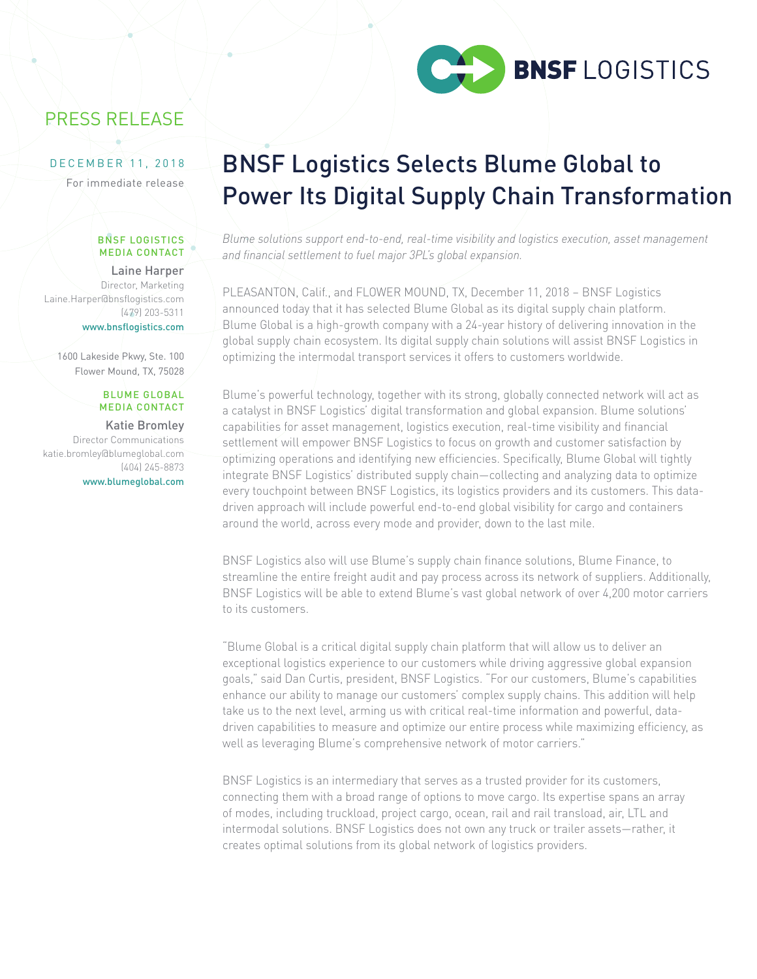

# PRESS RELEASE

## DECEMBER 11, 2018

For immediate release

#### BNSF LOGISTICS MEDIA CONTACT

# Laine Harper Director, Marketing

Laine.Harper@bnsflogistics.com (479) 203-5311 www.bnsflogistics.com

1600 Lakeside Pkwy, Ste. 100 Flower Mound, TX, 75028

### BLUME GLOBAL MEDIA CONTACT

#### Katie Bromley Director Communications katie.bromley@blumeglobal.com (404) 245-8873 www.blumeglobal.com

# BNSF Logistics Selects Blume Global to Power Its Digital Supply Chain Transformation

*Blume solutions support end-to-end, real-time visibility and logistics execution, asset management and financial settlement to fuel major 3PL's global expansion.*

PLEASANTON, Calif., and FLOWER MOUND, TX, December 11, 2018 – BNSF Logistics announced today that it has selected Blume Global as its digital supply chain platform. Blume Global is a high-growth company with a 24-year history of delivering innovation in the global supply chain ecosystem. Its digital supply chain solutions will assist BNSF Logistics in optimizing the intermodal transport services it offers to customers worldwide.

Blume's powerful technology, together with its strong, globally connected network will act as a catalyst in BNSF Logistics' digital transformation and global expansion. Blume solutions' capabilities for asset management, logistics execution, real-time visibility and financial settlement will empower BNSF Logistics to focus on growth and customer satisfaction by optimizing operations and identifying new efficiencies. Specifically, Blume Global will tightly integrate BNSF Logistics' distributed supply chain—collecting and analyzing data to optimize every touchpoint between BNSF Logistics, its logistics providers and its customers. This datadriven approach will include powerful end-to-end global visibility for cargo and containers around the world, across every mode and provider, down to the last mile.

BNSF Logistics also will use Blume's supply chain finance solutions, Blume Finance, to streamline the entire freight audit and pay process across its network of suppliers. Additionally, BNSF Logistics will be able to extend Blume's vast global network of over 4,200 motor carriers to its customers.

"Blume Global is a critical digital supply chain platform that will allow us to deliver an exceptional logistics experience to our customers while driving aggressive global expansion goals," said Dan Curtis, president, BNSF Logistics. "For our customers, Blume's capabilities enhance our ability to manage our customers' complex supply chains. This addition will help take us to the next level, arming us with critical real-time information and powerful, datadriven capabilities to measure and optimize our entire process while maximizing efficiency, as well as leveraging Blume's comprehensive network of motor carriers."

BNSF Logistics is an intermediary that serves as a trusted provider for its customers, connecting them with a broad range of options to move cargo. Its expertise spans an array of modes, including truckload, project cargo, ocean, rail and rail transload, air, LTL and intermodal solutions. BNSF Logistics does not own any truck or trailer assets—rather, it creates optimal solutions from its global network of logistics providers.